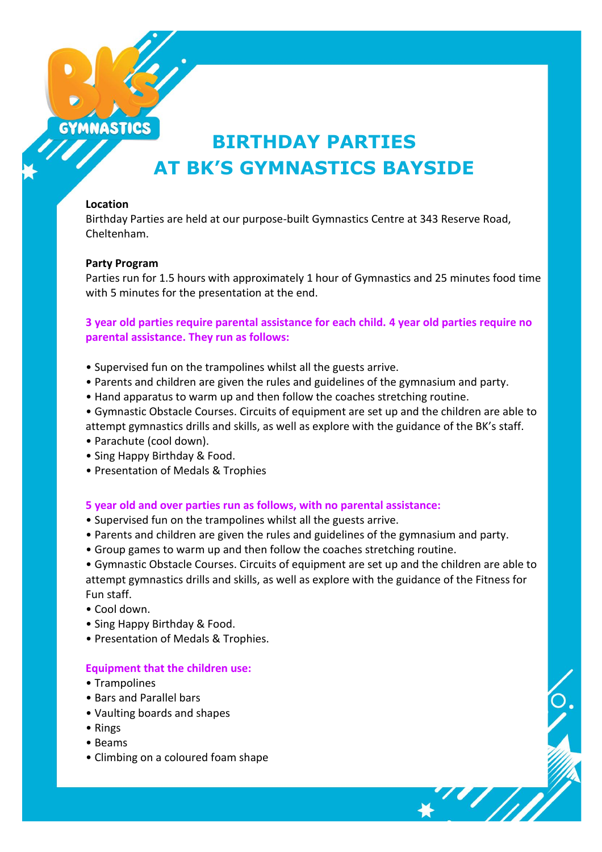

# **BIRTHDAY PARTIES AT BK'S GYMNASTICS BAYSIDE**

### **Location**

Birthday Parties are held at our purpose-built Gymnastics Centre at 343 Reserve Road, Cheltenham.

### **Party Program**

Parties run for 1.5 hours with approximately 1 hour of Gymnastics and 25 minutes food time with 5 minutes for the presentation at the end.

### **3 year old parties require parental assistance for each child. 4 year old parties require no parental assistance. They run as follows:**

- Supervised fun on the trampolines whilst all the guests arrive.
- Parents and children are given the rules and guidelines of the gymnasium and party.
- Hand apparatus to warm up and then follow the coaches stretching routine.
- Gymnastic Obstacle Courses. Circuits of equipment are set up and the children are able to attempt gymnastics drills and skills, as well as explore with the guidance of the BK's staff.
- Parachute (cool down).
- Sing Happy Birthday & Food.
- Presentation of Medals & Trophies

### **5 year old and over parties run as follows, with no parental assistance:**

- Supervised fun on the trampolines whilst all the guests arrive.
- Parents and children are given the rules and guidelines of the gymnasium and party.
- Group games to warm up and then follow the coaches stretching routine.

• Gymnastic Obstacle Courses. Circuits of equipment are set up and the children are able to attempt gymnastics drills and skills, as well as explore with the guidance of the Fitness for Fun staff.

- Cool down.
- Sing Happy Birthday & Food.
- Presentation of Medals & Trophies.

### **Equipment that the children use:**

- Trampolines
- Bars and Parallel bars
- Vaulting boards and shapes
- Rings
- Beams
- Climbing on a coloured foam shape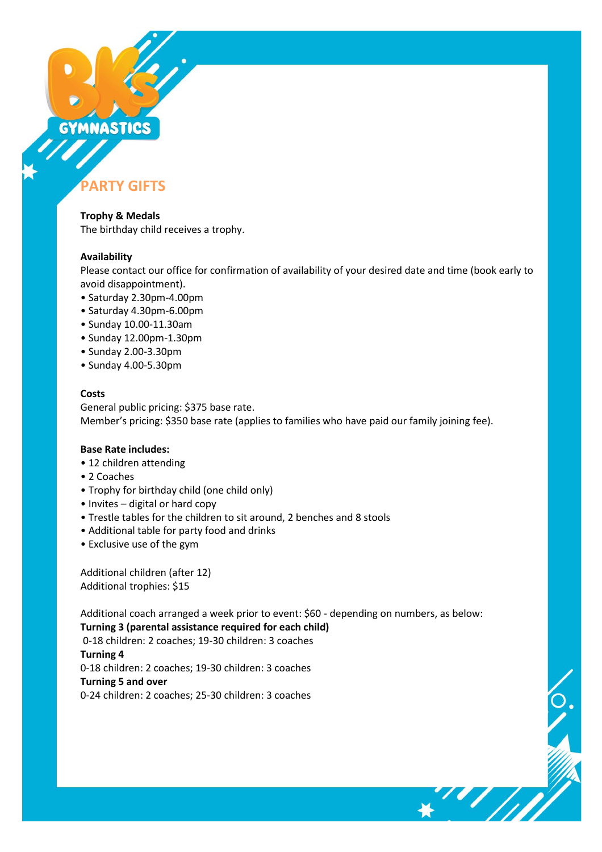# GYMNASTICS

# **PARTY GIFTS**

**Trophy & Medals** The birthday child receives a trophy.

### **Availability**

Please contact our office for confirmation of availability of your desired date and time (book early to avoid disappointment).

- Saturday 2.30pm-4.00pm
- Saturday 4.30pm-6.00pm
- Sunday 10.00-11.30am
- Sunday 12.00pm-1.30pm
- Sunday 2.00-3.30pm
- Sunday 4.00-5.30pm

### **Costs**

General public pricing: \$375 base rate. Member's pricing: \$350 base rate (applies to families who have paid our family joining fee).

### **Base Rate includes:**

- 12 children attending
- 2 Coaches
- Trophy for birthday child (one child only)
- Invites digital or hard copy
- Trestle tables for the children to sit around, 2 benches and 8 stools
- Additional table for party food and drinks
- Exclusive use of the gym

Additional children (after 12) Additional trophies: \$15

Additional coach arranged a week prior to event: \$60 - depending on numbers, as below: **Turning 3 (parental assistance required for each child)**

0-18 children: 2 coaches; 19-30 children: 3 coaches **Turning 4**  0-18 children: 2 coaches; 19-30 children: 3 coaches **Turning 5 and over**  0-24 children: 2 coaches; 25-30 children: 3 coaches